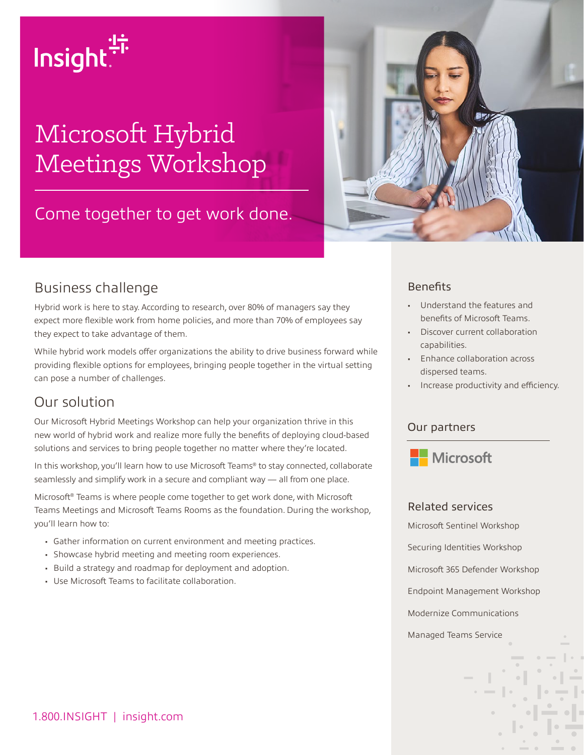# Insight.<sup>"</sup>

# Microsoft Hybrid Meetings Workshop

# Come together to get work done.



# Business challenge

Hybrid work is here to stay. According to research, over 80% of managers say they expect more flexible work from home policies, and more than 70% of employees say they expect to take advantage of them.

While hybrid work models offer organizations the ability to drive business forward while providing flexible options for employees, bringing people together in the virtual setting can pose a number of challenges.

# Our solution

Our Microsoft Hybrid Meetings Workshop can help your organization thrive in this new world of hybrid work and realize more fully the benefits of deploying cloud-based solutions and services to bring people together no matter where they're located.

In this workshop, you'll learn how to use Microsoft Teams® to stay connected, collaborate seamlessly and simplify work in a secure and compliant way — all from one place.

Microsoft® Teams is where people come together to get work done, with Microsoft Teams Meetings and Microsoft Teams Rooms as the foundation. During the workshop, you'll learn how to:

- Gather information on current environment and meeting practices.
- Showcase hybrid meeting and meeting room experiences.
- Build a strategy and roadmap for deployment and adoption.
- Use Microsoft Teams to facilitate collaboration.

#### **Benefits**

- Understand the features and benefits of Microsoft Teams.
- Discover current collaboration capabilities.
- Enhance collaboration across dispersed teams.
- Increase productivity and efficiency.

#### Our partners



#### Related services

Microsoft Sentinel Workshop Securing Identities Workshop Microsoft 365 Defender Workshop Endpoint Management Workshop Modernize Communications Managed Teams Service